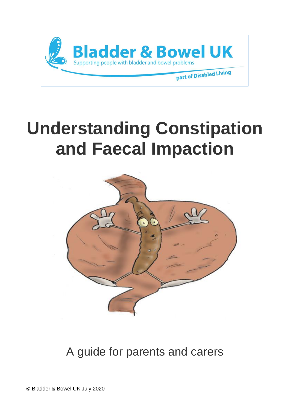

# **Understanding Constipation and Faecal Impaction**



A guide for parents and carers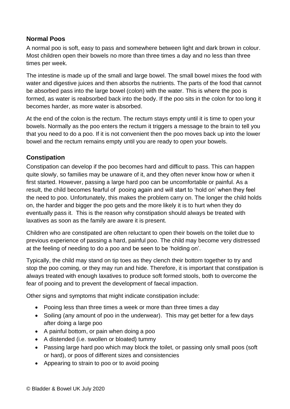#### **Normal Poos**

A normal poo is soft, easy to pass and somewhere between light and dark brown in colour. Most children open their bowels no more than three times a day and no less than three times per week.

The intestine is made up of the small and large bowel. The small bowel mixes the food with water and digestive juices and then absorbs the nutrients. The parts of the food that cannot be absorbed pass into the large bowel (colon) with the water. This is where the poo is formed, as water is reabsorbed back into the body. If the poo sits in the colon for too long it becomes harder, as more water is absorbed.

At the end of the colon is the rectum. The rectum stays empty until it is time to open your bowels. Normally as the poo enters the rectum it triggers a message to the brain to tell you that you need to do a poo. If it is not convenient then the poo moves back up into the lower bowel and the rectum remains empty until you are ready to open your bowels.

#### **Constipation**

Constipation can develop if the poo becomes hard and difficult to pass. This can happen quite slowly, so families may be unaware of it, and they often never know how or when it first started. However, passing a large hard poo can be uncomfortable or painful. As a result, the child becomes fearful of pooing again and will start to 'hold on' when they feel the need to poo. Unfortunately, this makes the problem carry on. The longer the child holds on, the harder and bigger the poo gets and the more likely it is to hurt when they do eventually pass it. This is the reason why constipation should always be treated with laxatives as soon as the family are aware it is present.

Children who are constipated are often reluctant to open their bowels on the toilet due to previous experience of passing a hard, painful poo. The child may become very distressed at the feeling of needing to do a poo and be seen to be 'holding on'.

Typically, the child may stand on tip toes as they clench their bottom together to try and stop the poo coming, or they may run and hide. Therefore, it is important that constipation is always treated with enough laxatives to produce soft formed stools, both to overcome the fear of pooing and to prevent the development of faecal impaction.

Other signs and symptoms that might indicate constipation include:

- Pooing less than three times a week or more than three times a day
- Soiling (any amount of poo in the underwear). This may get better for a few days after doing a large poo
- A painful bottom, or pain when doing a poo
- A distended (i.e. swollen or bloated) tummy
- Passing large hard poo which may block the toilet, or passing only small poos (soft or hard), or poos of different sizes and consistencies
- Appearing to strain to poo or to avoid pooing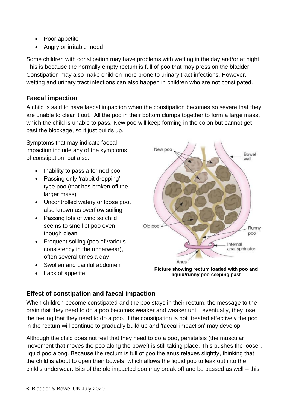- Poor appetite
- Angry or irritable mood

Some children with constipation may have problems with wetting in the day and/or at night. This is because the normally empty rectum is full of poo that may press on the bladder. Constipation may also make children more prone to urinary tract infections. However, wetting and urinary tract infections can also happen in children who are not constipated.

## **Faecal impaction**

A child is said to have faecal impaction when the constipation becomes so severe that they are unable to clear it out. All the poo in their bottom clumps together to form a large mass, which the child is unable to pass. New poo will keep forming in the colon but cannot get past the blockage, so it just builds up.

Symptoms that may indicate faecal impaction include any of the symptoms of constipation, but also:

- Inability to pass a formed poo
- Passing only 'rabbit dropping' type poo (that has broken off the larger mass)
- Uncontrolled watery or loose poo, also known as overflow soiling
- Passing lots of wind so child seems to smell of poo even though clean
- Frequent soiling (poo of various consistency in the underwear), often several times a day
- Swollen and painful abdomen
- Lack of appetite



**Picture showing rectum loaded with poo and liquid/runny poo seeping past**

## **Effect of constipation and faecal impaction**

When children become constipated and the poo stays in their rectum, the message to the brain that they need to do a poo becomes weaker and weaker until, eventually, they lose the feeling that they need to do a poo. If the constipation is not treated effectively the poo in the rectum will continue to gradually build up and 'faecal impaction' may develop.

Although the child does not feel that they need to do a poo, peristalsis (the muscular movement that moves the poo along the bowel) is still taking place. This pushes the looser, liquid poo along. Because the rectum is full of poo the anus relaxes slightly, thinking that the child is about to open their bowels, which allows the liquid poo to leak out into the child's underwear. Bits of the old impacted poo may break off and be passed as well – this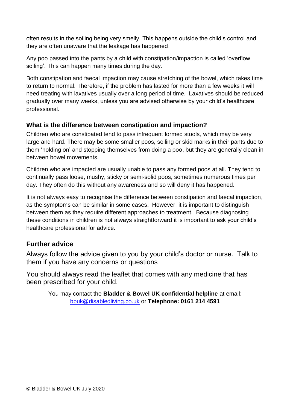often results in the soiling being very smelly. This happens outside the child's control and they are often unaware that the leakage has happened.

Any poo passed into the pants by a child with constipation/impaction is called 'overflow soiling'. This can happen many times during the day.

Both constipation and faecal impaction may cause stretching of the bowel, which takes time to return to normal. Therefore, if the problem has lasted for more than a few weeks it will need treating with laxatives usually over a long period of time. Laxatives should be reduced gradually over many weeks, unless you are advised otherwise by your child's healthcare professional.

## **What is the difference between constipation and impaction?**

Children who are constipated tend to pass infrequent formed stools, which may be very large and hard. There may be some smaller poos, soiling or skid marks in their pants due to them 'holding on' and stopping themselves from doing a poo, but they are generally clean in between bowel movements.

Children who are impacted are usually unable to pass any formed poos at all. They tend to continually pass loose, mushy, sticky or semi-solid poos, sometimes numerous times per day. They often do this without any awareness and so will deny it has happened.

It is not always easy to recognise the difference between constipation and faecal impaction, as the symptoms can be similar in some cases. However, it is important to distinguish between them as they require different approaches to treatment. Because diagnosing these conditions in children is not always straightforward it is important to ask your child's healthcare professional for advice.

## **Further advice**

Always follow the advice given to you by your child's doctor or nurse. Talk to them if you have any concerns or questions

You should always read the leaflet that comes with any medicine that has been prescribed for your child.

You may contact the **Bladder & Bowel UK confidential helpline** at email: [bbuk@disabledliving.co.uk](mailto:bbuk@disabledliving.co.uk) or **Telephone: 0161 214 4591**